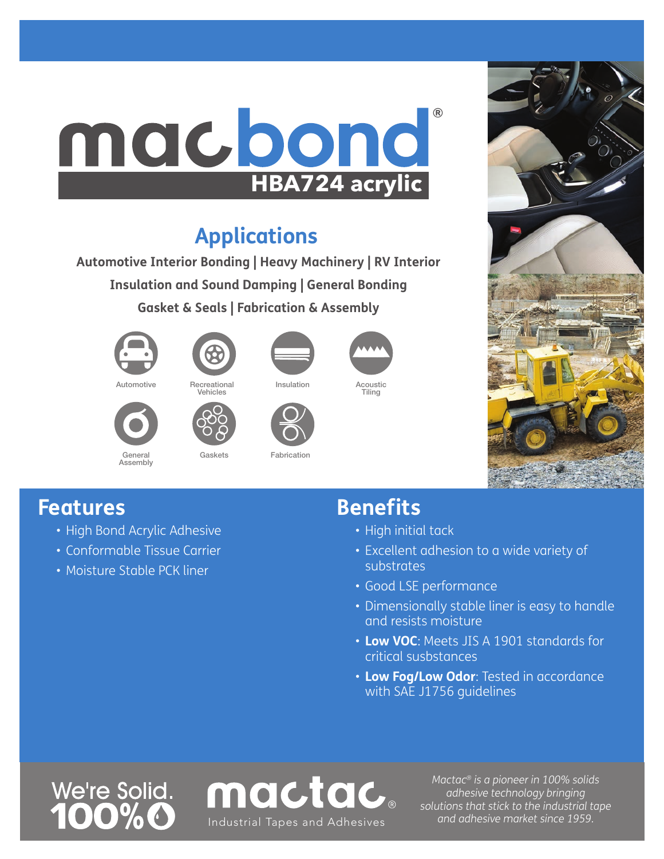# **HBA724 acrylic** ®

### **Applications**

**Automotive Interior Bonding | Heavy Machinery | RV Interior Insulation and Sound Damping | General Bonding Gasket & Seals | Fabrication & Assembly** 

Gaskets **Fabrication** 





Vehicles

Automotive Recreational





Insulation Acoustic Tiling



### **Features**

• High Bond Acrylic Adhesive

General Assembly

- Conformable Tissue Carrier
- Moisture Stable PCK liner

#### **Benefits**

- High initial tack
- Excellent adhesion to a wide variety of substrates
- Good LSE performance
- Dimensionally stable liner is easy to handle and resists moisture
- **Low VOC**: Meets JIS A 1901 standards for critical susbstances
- **Low Fog/Low Odor**: Tested in accordance with SAE J1756 guidelines

We're Solid.



*Mactac® is a pioneer in 100% solids adhesive technology bringing solutions that stick to the industrial tape*